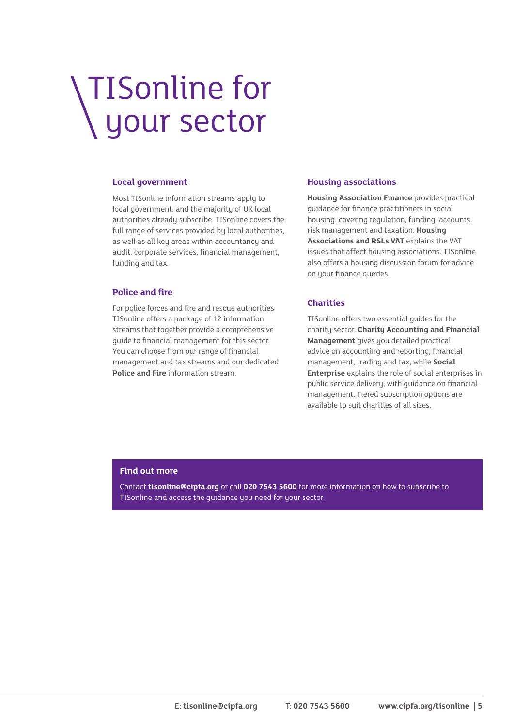# TISonline for your sector

#### **Local government**

Most TISonline information streams apply to local government, and the majority of UK local authorities already subscribe. TISonline covers the full range of services provided by local authorities, as well as all key areas within accountancy and audit, corporate services, financial management, funding and tax.

#### **Police and fire**

For police forces and fire and rescue authorities TISonline offers a package of 12 information streams that together provide a comprehensive guide to financial management for this sector. You can choose from our range of financial management and tax streams and our dedicated **Police and Fire** information stream.

#### **Housing associations**

**Housing Association Finance** provides practical guidance for finance practitioners in social housing, covering regulation, funding, accounts, risk management and taxation. **Housing Associations and RSLs VAT** explains the VAT issues that affect housing associations. TISonline also offers a housing discussion forum for advice on your finance queries.

#### **Charities**

TISonline offers two essential guides for the charity sector. **Charity Accounting and Financial Management** gives you detailed practical advice on accounting and reporting, financial management, trading and tax, while **Social Enterprise** explains the role of social enterprises in public service delivery, with guidance on financial management. Tiered subscription options are available to suit charities of all sizes.

#### **Find out more**

Contact **tisonline@cipfa.org** or call **020 7543 5600** for more information on how to subscribe to TISonline and access the guidance you need for your sector.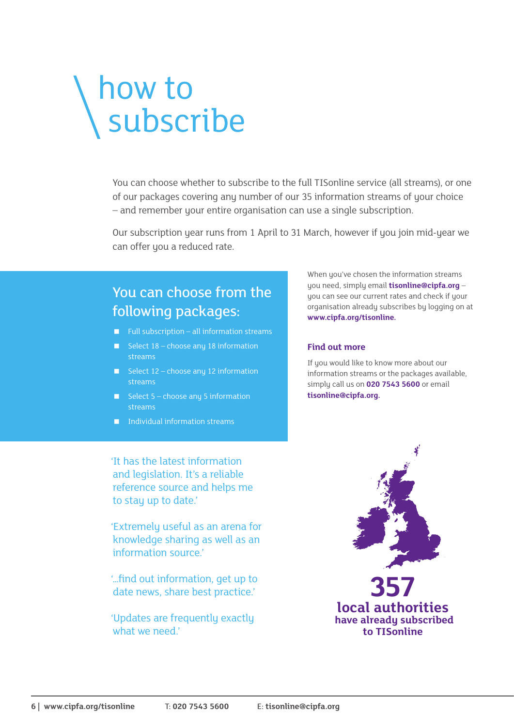# how to subscribe

You can choose whether to subscribe to the full TISonline service (all streams), or one of our packages covering any number of our 35 information streams of your choice – and remember your entire organisation can use a single subscription.

Our subscription year runs from 1 April to 31 March.

# You can choose from the following packages:

- $\blacksquare$  Full subscription all information streams
- Select  $18 -$ choose any 18 information streams
- Select  $12$  choose any 12 information streams
- Select  $5 -$ choose any 5 information streams
- Individual information streams

'It has the latest information and legislation. It's a reliable reference source and helps me to stay up to date.'

'Extremely useful as an arena for knowledge sharing as well as an information source.'

'…find out information, get up to date news, share best practice.'

'Updates are frequently exactly what we need.'

When you've chosen the information streams you need, simply email **tisonline@cipfa.org** – you can see our current rates and check if your organisation already subscribes by logging on at **www.cipfa.org/tisonline.** 

#### **Find out more**

If you would like to know more about our information streams or the packages available, simply call us on **020 7543 5600** or email **tisonline@cipfa.org.**

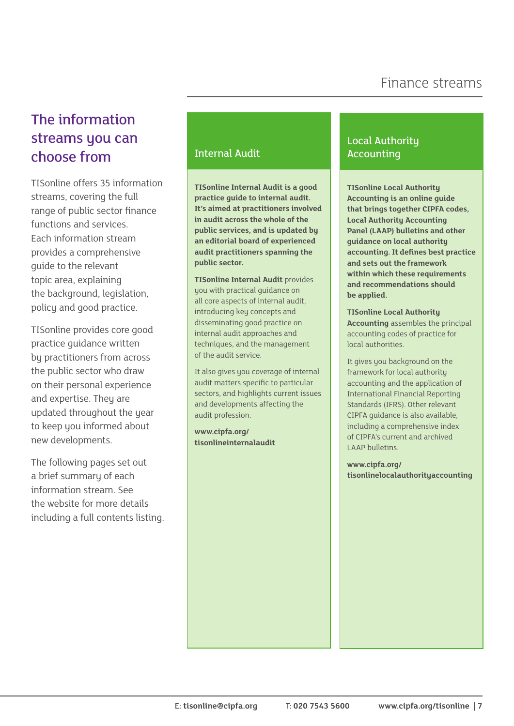# The information streams you can choose from The Internal Audit

TISonline offers 35 information streams, covering the full range of public sector finance functions and services. Each information stream provides a comprehensive guide to the relevant topic area, explaining the background, legislation, policy and good practice.

TISonline provides core good practice guidance written by practitioners from across the public sector who draw on their personal experience and expertise. They are updated throughout the year to keep you informed about new developments.

The following pages set out a brief summary of each information stream. See the website for more details including a full contents listing.

**TISonline Internal Audit is a good practice guide to internal audit. It's aimed at practitioners involved in audit across the whole of the public services, and is updated by an editorial board of experienced audit practitioners spanning the public sector.** 

**TISonline Internal Audit** provides uou with practical guidance on all core aspects of internal audit, introducing key concepts and disseminating good practice on internal audit approaches and techniques, and the management of the audit service.

It also gives you coverage of internal audit matters specific to particular sectors, and highlights current issues and developments affecting the audit profession.

**www.cipfa.org/ [tisonlineinternalaudit](www.cipfa.org/tisonlineinternalaudit)**

# Local Authority Accounting

**TISonline Local Authority Accounting is an online guide that brings together CIPFA codes, Local Authority Accounting Panel (LAAP) bulletins and other guidance on local authority accounting. It defines best practice and sets out the framework within which these requirements and recommendations should be applied.**

**TISonline Local Authority Accounting** assembles the principal accounting codes of practice for local authorities.

It gives you background on the framework for local authority accounting and the application of International Financial Reporting Standards (IFRS). Other relevant CIPFA guidance is also available, including a comprehensive index of CIPFA's current and archived LAAP bulletins.

**www.cipfa.org/ [tisonlinelocalauthorityaccounting](www.cipfa.org/tisonlinelocalauthorityaccounting)**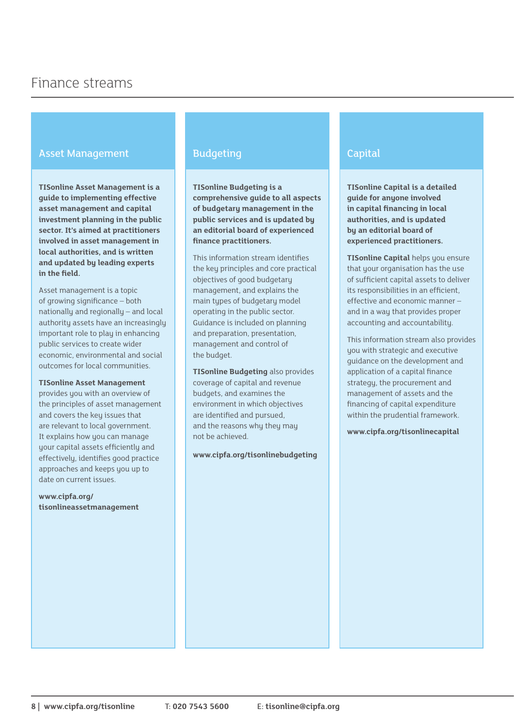# Asset Management

**TISonline Asset Management is a guide to implementing effective asset management and capital investment planning in the public sector. It's aimed at practitioners involved in asset management in local authorities, and is written and updated by leading experts in the field.** 

Asset management is a topic of growing significance – both nationally and regionally – and local authority assets have an increasingly important role to play in enhancing public services to create wider economic, environmental and social outcomes for local communities.

#### **TISonline Asset Management**

provides you with an overview of the principles of asset management and covers the key issues that are relevant to local government. It explains how you can manage your capital assets efficiently and effectively, identifies good practice approaches and keeps you up to date on current issues.

**www.cipfa.org/ [tisonlineassetmanagement](http://www.cipfa.org/tisonlineassetmanagement)**

# **Budgeting**

**TISonline Budgeting is a comprehensive guide to all aspects of budgetary management in the public services and is updated by an editorial board of experienced finance practitioners.** 

This information stream identifies the key principles and core practical objectives of good budgetary management, and explains the main types of budgetary model operating in the public sector. Guidance is included on planning and preparation, presentation, management and control of the budget.

**TISonline Budgeting** also provides coverage of capital and revenue budgets, and examines the environment in which objectives are identified and pursued, and the reasons why they may not be achieved.

**www.cipfa.org/tisonlinebudgeting**

# Capital

**TISonline Capital is a detailed guide for anyone involved in capital financing in local authorities, and is updated by an editorial board of experienced practitioners.** 

**TISonline Capital** helps you ensure that your organisation has the use of sufficient capital assets to deliver its responsibilities in an efficient, effective and economic manner – and in a way that provides proper accounting and accountability.

This information stream also provides you with strategic and executive guidance on the development and application of a capital finance strategy, the procurement and management of assets and the financing of capital expenditure within the prudential framework.

**www.cipfa.org/tisonlinecapital**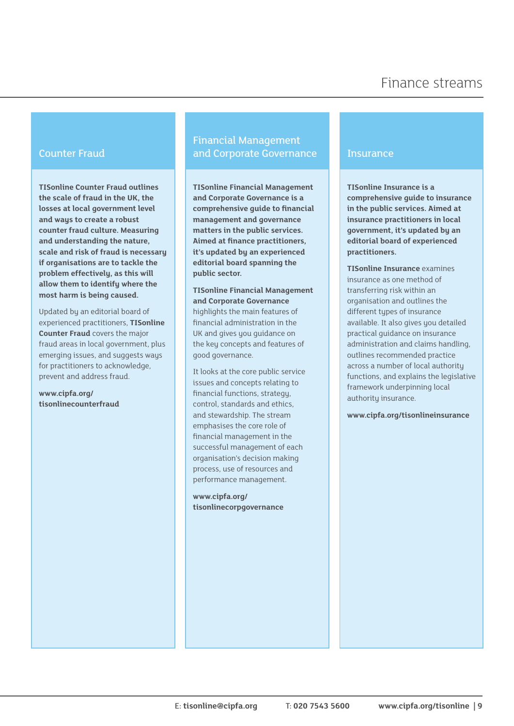#### Counter Fraud

**TISonline Counter Fraud outlines the scale of fraud in the UK, the losses at local government level and ways to create a robust counter fraud culture. Measuring and understanding the nature, scale and risk of fraud is necessary if organisations are to tackle the problem effectively, as this will allow them to identify where the most harm is being caused.**

Updated by an editorial board of experienced practitioners, **TISonline Counter Fraud** covers the major fraud areas in local government, plus emerging issues, and suggests ways for practitioners to acknowledge, prevent and address fraud.

**www.cipfa.org/ [tisonlinecounterfraud](www.cipfa.org/tisonlinecounterfraud)**

# Financial Management and Corporate Governance

**TISonline Financial Management and Corporate Governance is a comprehensive guide to financial management and governance matters in the public services. Aimed at finance practitioners, it's updated by an experienced editorial board spanning the public sector.** 

**TISonline Financial Management and Corporate Governance**  highlights the main features of financial administration in the UK and gives you guidance on the key concepts and features of good governance.

It looks at the core public service issues and concepts relating to financial functions, strategy, control, standards and ethics, and stewardship. The stream emphasises the core role of financial management in the successful management of each organisation's decision making process, use of resources and performance management.

**www.cipfa.org/ [tisonlinecorpgovernance](www.cipfa.org/tisonlinecorpgovernance)**

#### **Insurance**

**TISonline Insurance is a comprehensive guide to insurance in the public services. Aimed at insurance practitioners in local government, it's updated by an editorial board of experienced practitioners.** 

**TISonline Insurance** examines insurance as one method of transferring risk within an organisation and outlines the different types of insurance available. It also gives you detailed practical guidance on insurance administration and claims handling, outlines recommended practice across a number of local authority functions, and explains the legislative framework underpinning local authority insurance.

**www.cipfa.org/tisonlineinsurance**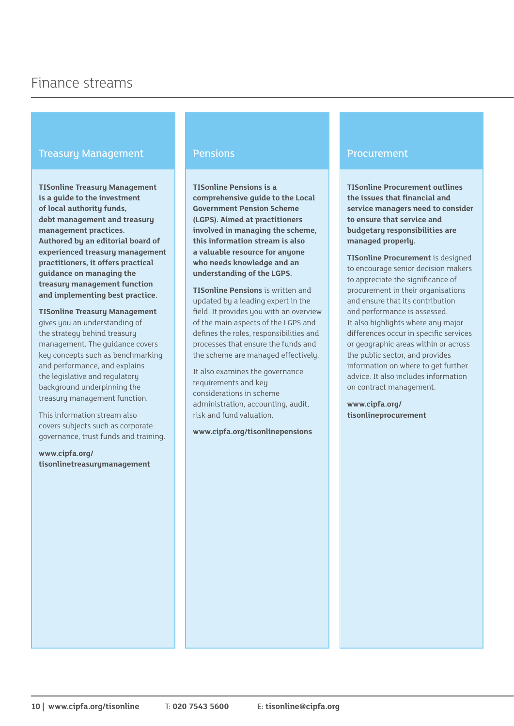# Treasury Management

**TISonline Treasury Management is a guide to the investment of local authority funds, debt management and treasury management practices. Authored by an editorial board of experienced treasury management practitioners, it offers practical guidance on managing the treasury management function and implementing best practice.** 

**TISonline Treasury Management**  gives you an understanding of the strategy behind treasury management. The guidance covers key concepts such as benchmarking and performance, and explains the legislative and regulatory background underpinning the treasury management function.

This information stream also covers subjects such as corporate governance, trust funds and training.

**www.cipfa.org/ [tisonlinetreasurymanagement](www.cipfa.org/tisonlinetreasurymanagement)**

#### **Pensions**

**TISonline Pensions is a comprehensive guide to the Local Government Pension Scheme (LGPS). Aimed at practitioners involved in managing the scheme, this information stream is also a valuable resource for anyone who needs knowledge and an understanding of the LGPS.** 

**TISonline Pensions** is written and updated by a leading expert in the field. It provides you with an overview of the main aspects of the LGPS and defines the roles, responsibilities and processes that ensure the funds and the scheme are managed effectively.

It also examines the governance requirements and key considerations in scheme administration, accounting, audit, risk and fund valuation.

**www.cipfa.org/tisonlinepensions**

#### Procurement

**TISonline Procurement outlines the issues that financial and service managers need to consider to ensure that service and budgetary responsibilities are managed properly.**

**TISonline Procurement** is designed to encourage senior decision makers to appreciate the significance of procurement in their organisations and ensure that its contribution and performance is assessed. It also highlights where any major differences occur in specific services or geographic areas within or across the public sector, and provides information on where to get further advice. It also includes information on contract management.

**www.cipfa.org/ [tisonlineprocurement](www.cipfa.org/tisonlineprocurement)**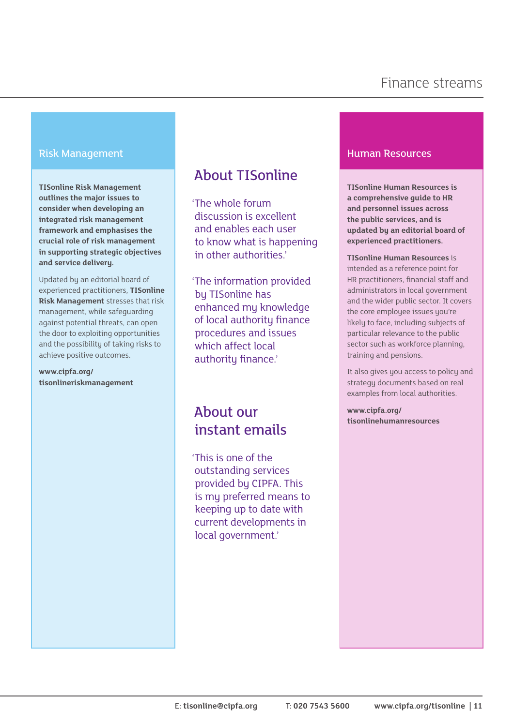#### Risk Management

**TISonline Risk Management outlines the major issues to consider when developing an integrated risk management framework and emphasises the crucial role of risk management in supporting strategic objectives and service delivery.**

Updated by an editorial board of experienced practitioners, **TISonline Risk Management** stresses that risk management, while safeguarding against potential threats, can open the door to exploiting opportunities and the possibility of taking risks to achieve positive outcomes.

#### **www.cipfa.org/ [tisonlineriskmanagement](www.cipfa.org/tisonlineriskmanagement)**

# About TISonline

'The whole forum discussion is excellent and enables each user to know what is happening in other authorities.'

'The information provided by TISonline has enhanced my knowledge of local authority finance procedures and issues which affect local authority finance.'

# About our instant emails

'This is one of the outstanding services provided by CIPFA. This is my preferred means to keeping up to date with current developments in local government.'

#### Human Resources

**TISonline Human Resources is a comprehensive guide to HR and personnel issues across the public services, and is updated by an editorial board of experienced practitioners.** 

**TISonline Human Resources** is intended as a reference point for HR practitioners, financial staff and administrators in local government and the wider public sector. It covers the core employee issues you're likely to face, including subjects of particular relevance to the public sector such as workforce planning, training and pensions.

It also gives you access to policy and strategy documents based on real examples from local authorities.

**www.cipfa.org/ [tisonlinehumanresources](www.cipfa.org/tisonlinehumanresources)**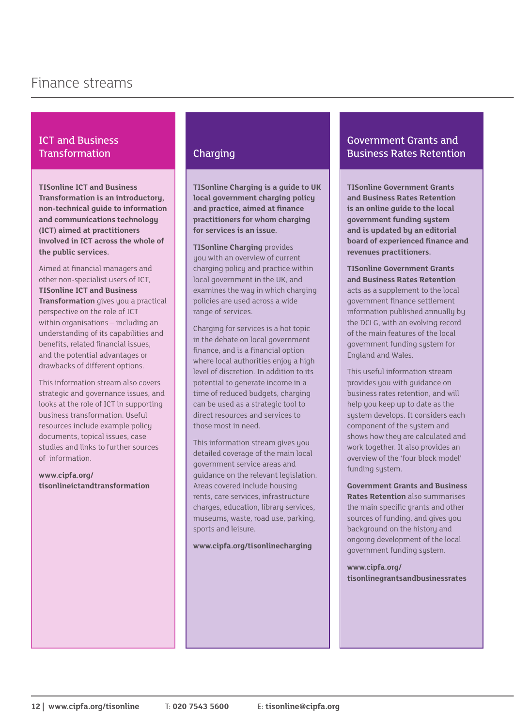# ICT and Business **Transformation**

**TISonline ICT and Business Transformation is an introductory, non-technical guide to information and communications technology (ICT) aimed at practitioners involved in ICT across the whole of the public services.** 

Aimed at financial managers and other non-specialist users of ICT, **TISonline ICT and Business Transformation** gives you a practical perspective on the role of ICT within organisations – including an understanding of its capabilities and benefits, related financial issues, and the potential advantages or drawbacks of different options.

This information stream also covers strategic and governance issues, and looks at the role of ICT in supporting business transformation. Useful resources include example policy documents, topical issues, case studies and links to further sources of information.

**www.cipfa.org/ [tisonlineictandtransformation](www.cipfa.org/tisonlineictandtransformation)**

# **Charging**

**TISonline Charging is a guide to UK local government charging policy and practice, aimed at finance practitioners for whom charging for services is an issue.** 

**TISonline Charging** provides you with an overview of current charging policy and practice within local government in the UK, and examines the way in which charging policies are used across a wide range of services.

Charging for services is a hot topic in the debate on local government finance, and is a financial option where local authorities enjoy a high level of discretion. In addition to its potential to generate income in a time of reduced budgets, charging can be used as a strategic tool to direct resources and services to those most in need.

This information stream gives you detailed coverage of the main local government service areas and guidance on the relevant legislation. Areas covered include housing rents, care services, infrastructure charges, education, library services, museums, waste, road use, parking, sports and leisure.

**www.cipfa.org/tisonlinecharging**

# Government Grants and Business Rates Retention

**TISonline Government Grants and Business Rates Retention is an online guide to the local government funding system and is updated by an editorial board of experienced finance and revenues practitioners.** 

**TISonline Government Grants and Business Rates Retention**  acts as a supplement to the local government finance settlement information published annually by the DCLG, with an evolving record of the main features of the local government funding system for England and Wales.

This useful information stream provides you with guidance on business rates retention, and will help you keep up to date as the system develops. It considers each component of the system and shows how they are calculated and work together. It also provides an overview of the 'four block model' funding system.

**Government Grants and Business Rates Retention** also summarises the main specific grants and other sources of funding, and gives you background on the history and ongoing development of the local government funding system.

**www.cipfa.org/ [tisonlinegrantsandbusinessrates](www.cipfa.org/tisonlinegrantsandbusinessrates)**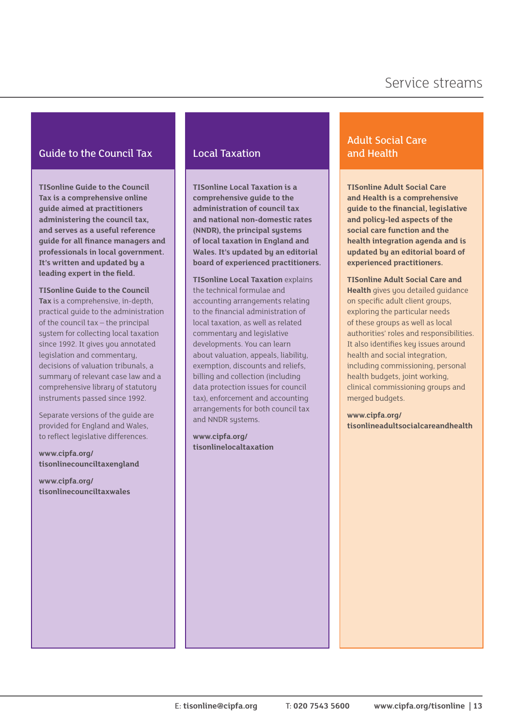# Guide to the Council Tax

**TISonline Guide to the Council Tax is a comprehensive online guide aimed at practitioners administering the council tax, and serves as a useful reference guide for all finance managers and professionals in local government. It's written and updated by a leading expert in the field.** 

**TISonline Guide to the Council Tax** is a comprehensive, in-depth, practical guide to the administration of the council tax – the principal system for collecting local taxation since 1992. It gives you annotated legislation and commentary, decisions of valuation tribunals, a summary of relevant case law and a comprehensive library of statutory instruments passed since 1992.

Separate versions of the guide are provided for England and Wales, to reflect legislative differences.

**www.cipfa.org/ [tisonlinecounciltaxengland](www.cipfa.org/tisonlinecounciltaxengland)**

**www.cipfa.org/ [tisonlinecounciltaxwales](www.cipfa.org/tisonlinecounciltaxwales)**

# Local Taxation

**TISonline Local Taxation is a comprehensive guide to the administration of council tax and national non-domestic rates (NNDR), the principal systems of local taxation in England and Wales. It's updated by an editorial board of experienced practitioners.** 

**TISonline Local Taxation** explains the technical formulae and accounting arrangements relating to the financial administration of local taxation, as well as related commentary and legislative developments. You can learn about valuation, appeals, liability, exemption, discounts and reliefs, billing and collection (including data protection issues for council tax), enforcement and accounting arrangements for both council tax and NNDR systems.

**www.cipfa.org/ [tisonlinelocaltaxation](www.cipfa.org/tisonlinelocaltaxation)**

# Adult Social Care and Health

**TISonline Adult Social Care and Health is a comprehensive guide to the financial, legislative and policy-led aspects of the social care function and the health integration agenda and is updated by an editorial board of experienced practitioners.** 

**TISonline Adult Social Care and Health** gives you detailed guidance on specific adult client groups, exploring the particular needs of these groups as well as local authorities' roles and responsibilities. It also identifies key issues around health and social integration, including commissioning, personal health budgets, joint working, clinical commissioning groups and merged budgets.

**www.cipfa.org/ [tisonlineadultsocialcareandhealth](www.cipfa.org/tisonlineadultsocialcareandhealth)**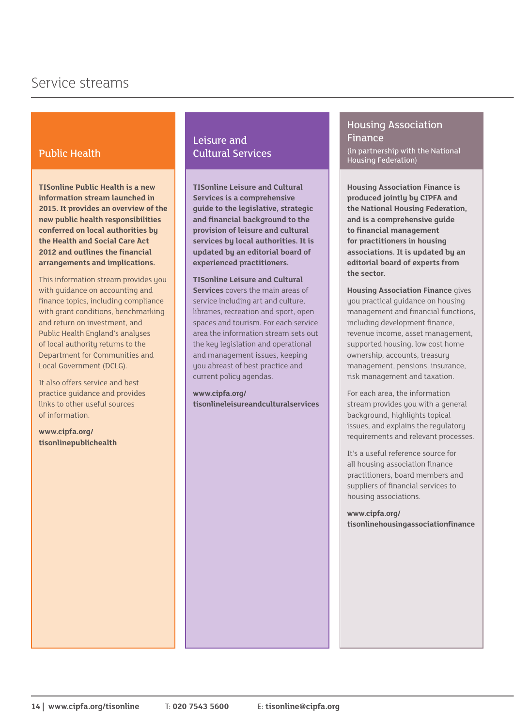# Public Health

**TISonline Public Health is a new information stream launched in 2015. It provides an overview of the new public health responsibilities conferred on local authorities by the Health and Social Care Act 2012 and outlines the financial arrangements and implications.**

This information stream provides you with guidance on accounting and finance topics, including compliance with grant conditions, benchmarking and return on investment, and Public Health England's analyses of local authority returns to the Department for Communities and Local Government (DCLG).

It also offers service and best practice guidance and provides links to other useful sources of information.

**www.cipfa.org/ [tisonlinepublichealth](www.cipfa.org/tisonlinepublichealth)**

# Leisure and Cultural Services

**TISonline Leisure and Cultural Services is a comprehensive guide to the legislative, strategic and financial background to the provision of leisure and cultural services by local authorities. It is updated by an editorial board of experienced practitioners.** 

**TISonline Leisure and Cultural Services** covers the main areas of service including art and culture, libraries, recreation and sport, open spaces and tourism. For each service area the information stream sets out the key legislation and operational and management issues, keeping you abreast of best practice and current policy agendas.

**www.cipfa.org/ [tisonlineleisureandculturalservices](www.cipfa.org/tisonlineleisureandculturalservices)**

### Housing Association Finance (in partnership with the National Housing Federation)

**Housing Association Finance is produced jointly by CIPFA and the National Housing Federation, and is a comprehensive guide to financial management for practitioners in housing associations. It is updated by an editorial board of experts from the sector.** 

**Housing Association Finance** gives you practical guidance on housing management and financial functions, including development finance, revenue income, asset management, supported housing, low cost home ownership, accounts, treasury management, pensions, insurance, risk management and taxation.

For each area, the information stream provides you with a general background, highlights topical issues, and explains the regulatory requirements and relevant processes.

It's a useful reference source for all housing association finance practitioners, board members and suppliers of financial services to housing associations.

**www.cipfa.org/ [tisonlinehousingassociationfinance](www.cipfa.org/tisonlinehousingassociationfinance)**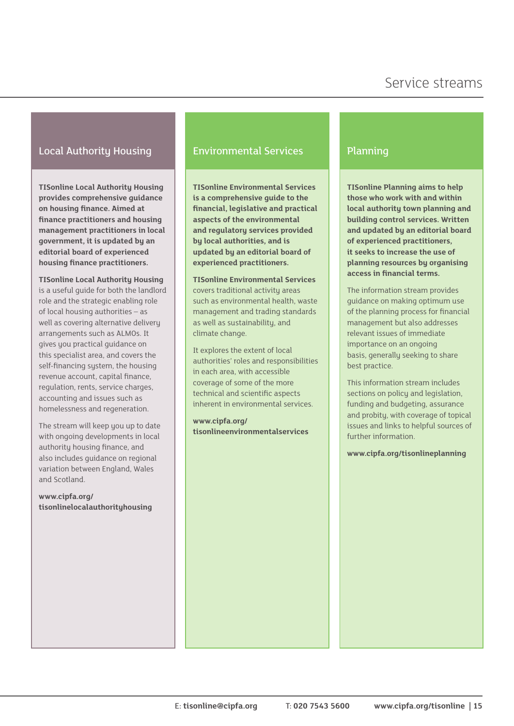# Local Authority Housing

**TISonline Local Authority Housing provides comprehensive guidance on housing finance. Aimed at finance practitioners and housing management practitioners in local government, it is updated by an editorial board of experienced housing finance practitioners.** 

**TISonline Local Authority Housing** is a useful guide for both the landlord role and the strategic enabling role of local housing authorities – as well as covering alternative delivery arrangements such as ALMOs. It gives you practical guidance on this specialist area, and covers the self-financing system, the housing revenue account, capital finance, regulation, rents, service charges, accounting and issues such as homelessness and regeneration.

The stream will keep you up to date with ongoing developments in local authority housing finance, and also includes guidance on regional variation between England, Wales and Scotland.

**www.cipfa.org/ [tisonlinelocalauthorityhousing](www.cipfa.org/tisonlinelocalauthorityhousing)**

# Environmental Services

**TISonline Environmental Services is a comprehensive guide to the financial, legislative and practical aspects of the environmental and regulatory services provided by local authorities, and is updated by an editorial board of experienced practitioners.** 

**TISonline Environmental Services**  covers traditional activity areas such as environmental health, waste management and trading standards as well as sustainability, and climate change.

It explores the extent of local authorities' roles and responsibilities in each area, with accessible coverage of some of the more technical and scientific aspects inherent in environmental services.

**www.cipfa.org/ [tisonlineenvironmentalservices](www.cipfa.org/tisonlineenvironmentalservices)**

# Planning

**TISonline Planning aims to help those who work with and within local authority town planning and building control services. Written and updated by an editorial board of experienced practitioners, it seeks to increase the use of planning resources by organising access in financial terms.** 

The information stream provides guidance on making optimum use of the planning process for financial management but also addresses relevant issues of immediate importance on an ongoing basis, generally seeking to share best practice.

This information stream includes sections on policy and legislation, funding and budgeting, assurance and probity, with coverage of topical issues and links to helpful sources of further information.

**www.cipfa.org/tisonlineplanning**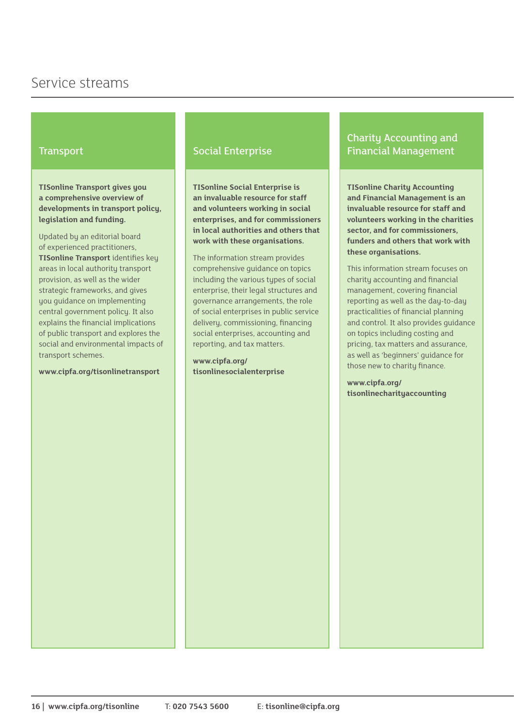#### **Transport**

**TISonline Transport gives you a comprehensive overview of developments in transport policy, legislation and funding.** 

Updated by an editorial board of experienced practitioners, **TISonline Transport** identifies key areas in local authority transport provision, as well as the wider strategic frameworks, and gives you guidance on implementing central government policy. It also explains the financial implications of public transport and explores the social and environmental impacts of transport schemes.

**www.cipfa.org/tisonlinetransport**

#### Social Enterprise

**TISonline Social Enterprise is an invaluable resource for staff and volunteers working in social enterprises, and for commissioners in local authorities and others that work with these organisations.** 

The information stream provides comprehensive guidance on topics including the various types of social enterprise, their legal structures and governance arrangements, the role of social enterprises in public service delivery, commissioning, financing social enterprises, accounting and reporting, and tax matters.

**www.cipfa.org/ [tisonlinesocialenterprise](www.cipfa.org/tisonlinesocialenterprise)**

# Charity Accounting and Financial Management

**TISonline Charity Accounting and Financial Management is an invaluable resource for staff and volunteers working in the charities sector, and for commissioners, funders and others that work with these organisations.** 

This information stream focuses on charity accounting and financial management, covering financial reporting as well as the day-to-day practicalities of financial planning and control. It also provides guidance on topics including costing and pricing, tax matters and assurance, as well as 'beginners' guidance for those new to charity finance.

**www.cipfa.org/ [tisonlinecharityaccounting](www.cipfa.org/tisonlinecharityaccounting)**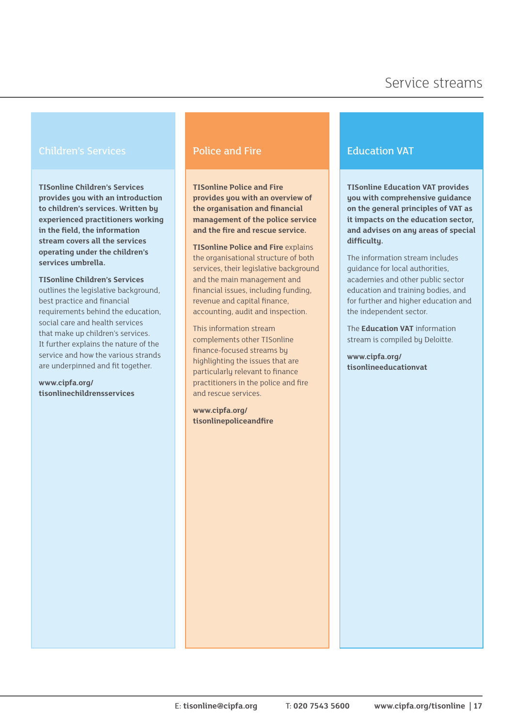### Children's Services

**TISonline Children's Services provides you with an introduction to children's services. Written by experienced practitioners working in the field, the information stream covers all the services operating under the children's services umbrella.** 

**TISonline Children's Services**  outlines the legislative background. best practice and financial requirements behind the education, social care and health services that make up children's services. It further explains the nature of the service and how the various strands are underpinned and fit together.

**www.cipfa.org/ [tisonlinechildrensservices](www.cipfa.org/tisonlinechildrensservices)**

### Police and Fire

**TISonline Police and Fire provides you with an overview of the organisation and financial management of the police service and the fire and rescue service.** 

**TISonline Police and Fire** explains the organisational structure of both services, their legislative background and the main management and financial issues, including funding, revenue and capital finance, accounting, audit and inspection.

This information stream complements other TISonline finance-focused streams by highlighting the issues that are particularly relevant to finance practitioners in the police and fire and rescue services.

**www.cipfa.org/ [tisonlinepoliceandfire](www.cipfa.org/tisonlinepoliceandfire)**

#### Education VAT

**TISonline Education VAT provides you with comprehensive guidance on the general principles of VAT as it impacts on the education sector, and advises on any areas of special difficulty.** 

The information stream includes guidance for local authorities, academies and other public sector education and training bodies, and for further and higher education and the independent sector.

The **Education VAT** information stream is compiled by Deloitte.

**www.cipfa.org/ [tisonlineeducationvat](www.cipfa.org/tisonlineeducationvat)**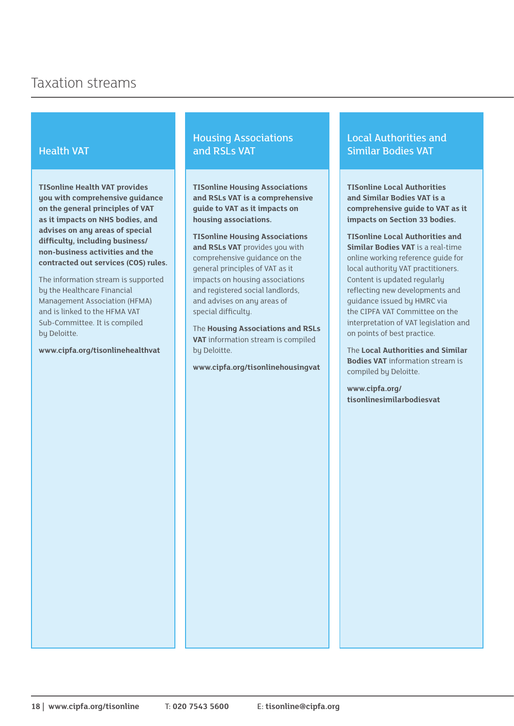# Health VAT

**TISonline Health VAT provides you with comprehensive guidance on the general principles of VAT as it impacts on NHS bodies, and advises on any areas of special difficulty, including business/ non-business activities and the contracted out services (COS) rules.** 

The information stream is supported by the Healthcare Financial Management Association (HFMA) and is linked to the HFMA VAT Sub-Committee. It is compiled by Deloitte.

**www.cipfa.org/tisonlinehealthvat**

# Housing Associations and RSLs VAT

**TISonline Housing Associations and RSLs VAT is a comprehensive guide to VAT as it impacts on housing associations.** 

**TISonline Housing Associations and RSLs VAT** provides you with comprehensive guidance on the general principles of VAT as it impacts on housing associations and registered social landlords, and advises on any areas of special difficulty.

The **Housing Associations and RSLs VAT** information stream is compiled by Deloitte.

**www.cipfa.org/tisonlinehousingvat**

# Local Authorities and Similar Bodies VAT

**TISonline Local Authorities and Similar Bodies VAT is a comprehensive guide to VAT as it impacts on Section 33 bodies.** 

**TISonline Local Authorities and Similar Bodies VAT** is a real-time online working reference guide for local authority VAT practitioners. Content is updated regularly reflecting new developments and guidance issued by HMRC via the CIPFA VAT Committee on the interpretation of VAT legislation and on points of best practice.

The **Local Authorities and Similar Bodies VAT** information stream is compiled by Deloitte.

**www.cipfa.org/ [tisonlinesimilarbodiesvat](www.cipfa.org/tisonlinesimilarbodiesvat)**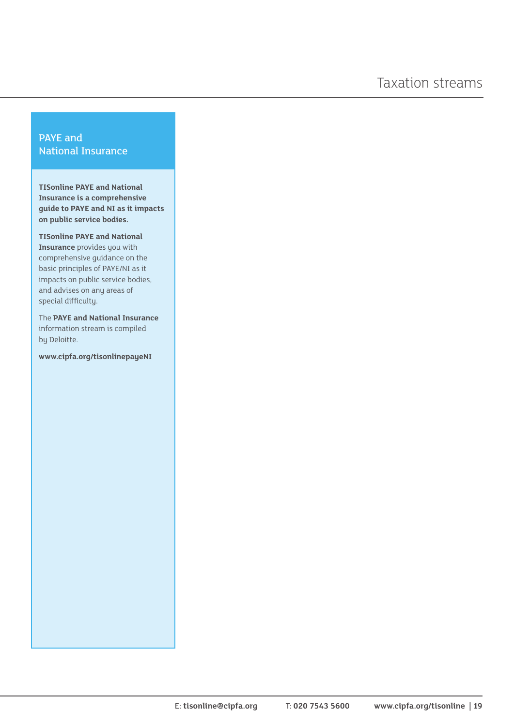# PAYE and National Insurance

**TISonline PAYE and National Insurance is a comprehensive guide to PAYE and NI as it impacts on public service bodies.** 

**TISonline PAYE and National Insurance** provides you with comprehensive guidance on the basic principles of PAYE/NI as it impacts on public service bodies, and advises on any areas of special difficulty.

The **PAYE and National Insurance**  information stream is compiled by Deloitte.

**www.cipfa.org/tisonlinepayeNI**